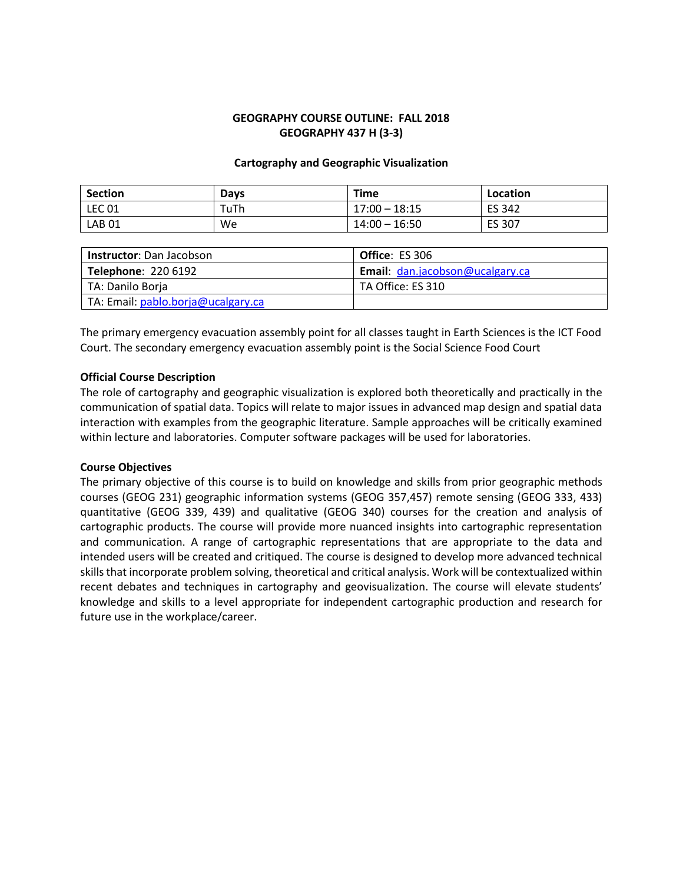## **GEOGRAPHY COURSE OUTLINE: FALL 2018 GEOGRAPHY 437 H (3-3)**

## **Cartography and Geographic Visualization**

| <b>Section</b> | <b>Days</b> | Time            | Location      |
|----------------|-------------|-----------------|---------------|
| $ $ LEC 01     | TuTh        | $17:00 - 18:15$ | <b>ES 342</b> |
| <b>LAB 01</b>  | We          | $14:00 - 16:50$ | ES 307        |

| <b>Instructor:</b> Dan Jacobson    | <b>Office: ES 306</b>           |
|------------------------------------|---------------------------------|
| <b>Telephone: 220 6192</b>         | Email: dan.jacobson@ucalgary.ca |
| TA: Danilo Borja                   | TA Office: ES 310               |
| TA: Email: pablo.borja@ucalgary.ca |                                 |

The primary emergency evacuation assembly point for all classes taught in Earth Sciences is the ICT Food Court. The secondary emergency evacuation assembly point is the Social Science Food Court

## **Official Course Description**

The role of cartography and geographic visualization is explored both theoretically and practically in the communication of spatial data. Topics will relate to major issues in advanced map design and spatial data interaction with examples from the geographic literature. Sample approaches will be critically examined within lecture and laboratories. Computer software packages will be used for laboratories.

#### **Course Objectives**

The primary objective of this course is to build on knowledge and skills from prior geographic methods courses (GEOG 231) geographic information systems (GEOG 357,457) remote sensing (GEOG 333, 433) quantitative (GEOG 339, 439) and qualitative (GEOG 340) courses for the creation and analysis of cartographic products. The course will provide more nuanced insights into cartographic representation and communication. A range of cartographic representations that are appropriate to the data and intended users will be created and critiqued. The course is designed to develop more advanced technical skills that incorporate problem solving, theoretical and critical analysis. Work will be contextualized within recent debates and techniques in cartography and geovisualization. The course will elevate students' knowledge and skills to a level appropriate for independent cartographic production and research for future use in the workplace/career.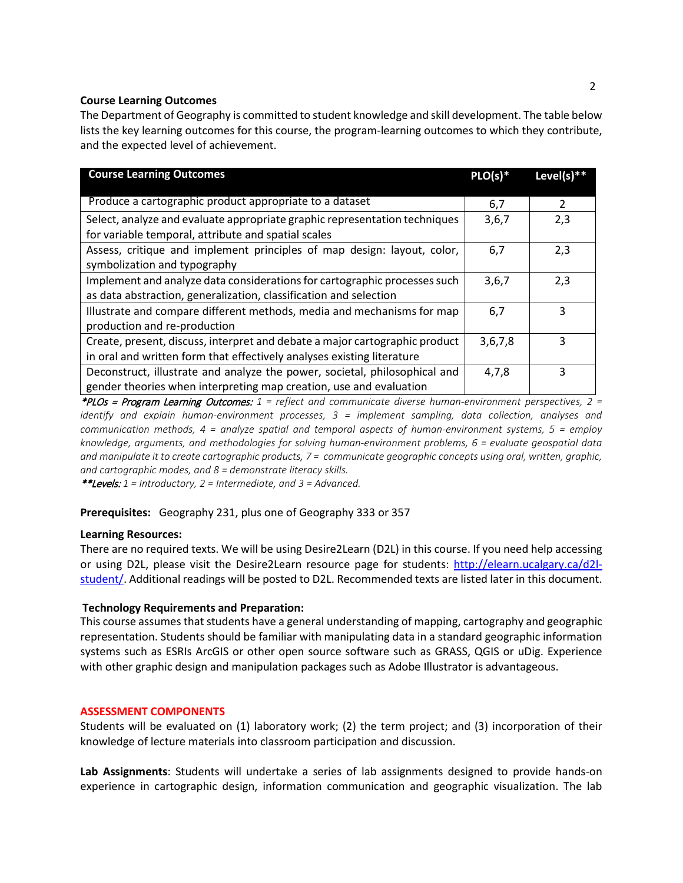## **Course Learning Outcomes**

The Department of Geography is committed to student knowledge and skill development. The table below lists the key learning outcomes for this course, the program-learning outcomes to which they contribute, and the expected level of achievement.

| <b>Course Learning Outcomes</b>                                             | $PLO(s)*$ | Level(s) $**$ |
|-----------------------------------------------------------------------------|-----------|---------------|
|                                                                             |           |               |
| Produce a cartographic product appropriate to a dataset                     | 6,7       | 2             |
| Select, analyze and evaluate appropriate graphic representation techniques  | 3,6,7     | 2,3           |
| for variable temporal, attribute and spatial scales                         |           |               |
| Assess, critique and implement principles of map design: layout, color,     | 6,7       | 2,3           |
| symbolization and typography                                                |           |               |
| Implement and analyze data considerations for cartographic processes such   | 3,6,7     | 2,3           |
| as data abstraction, generalization, classification and selection           |           |               |
| Illustrate and compare different methods, media and mechanisms for map      | 6,7       | 3             |
| production and re-production                                                |           |               |
| Create, present, discuss, interpret and debate a major cartographic product | 3,6,7,8   | 3             |
| in oral and written form that effectively analyses existing literature      |           |               |
| Deconstruct, illustrate and analyze the power, societal, philosophical and  | 4,7,8     | 3             |
| gender theories when interpreting map creation, use and evaluation          |           |               |

\*PLOs = Program Learning Outcomes: *1 = reflect and communicate diverse human-environment perspectives, 2 = identify and explain human-environment processes, 3 = implement sampling, data collection, analyses and communication methods, 4 = analyze spatial and temporal aspects of human-environment systems, 5 = employ knowledge, arguments, and methodologies for solving human-environment problems, 6 = evaluate geospatial data and manipulate it to create cartographic products, 7 = communicate geographic concepts using oral, written, graphic, and cartographic modes, and 8 = demonstrate literacy skills.*

\*\*Levels: *1 = Introductory, 2 = Intermediate, and 3 = Advanced.*

#### **Prerequisites:** Geography 231, plus one of Geography 333 or 357

#### **Learning Resources:**

There are no required texts. We will be using Desire2Learn (D2L) in this course. If you need help accessing or using D2L, please visit the Desire2Learn resource page for students: [http://elearn.ucalgary.ca/d2l](http://elearn.ucalgary.ca/d2l-)[student/. A](http://elearn.ucalgary.ca/d2l-student/)dditional readings will be posted to D2L. Recommended texts are listed later in this document.

#### **Technology Requirements and Preparation:**

This course assumes that students have a general understanding of mapping, cartography and geographic representation. Students should be familiar with manipulating data in a standard geographic information systems such as ESRIs ArcGIS or other open source software such as GRASS, QGIS or uDig. Experience with other graphic design and manipulation packages such as Adobe Illustrator is advantageous.

#### **ASSESSMENT COMPONENTS**

Students will be evaluated on (1) laboratory work; (2) the term project; and (3) incorporation of their knowledge of lecture materials into classroom participation and discussion.

**Lab Assignments**: Students will undertake a series of lab assignments designed to provide hands-on experience in cartographic design, information communication and geographic visualization. The lab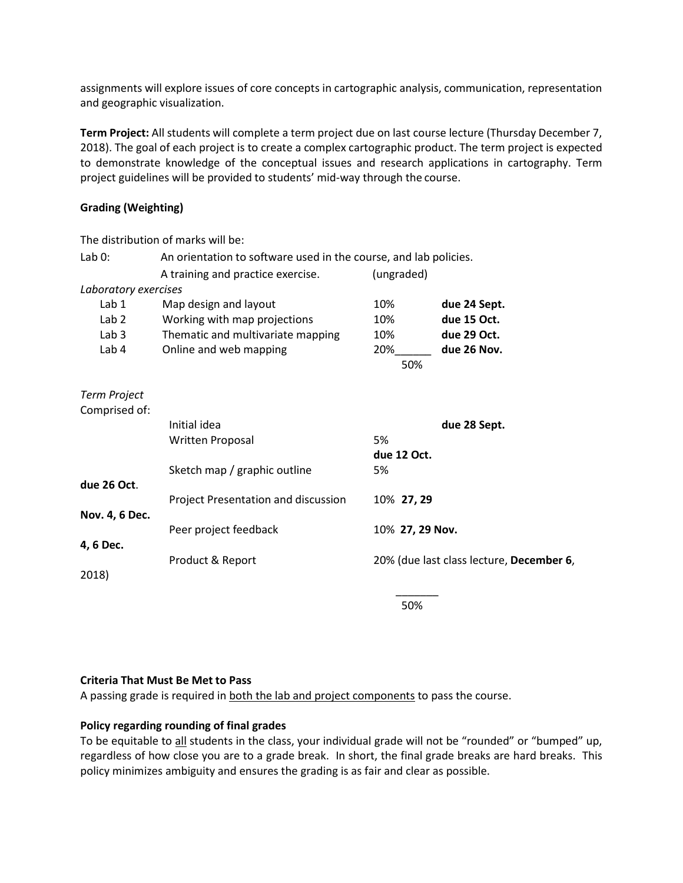assignments will explore issues of core concepts in cartographic analysis, communication, representation and geographic visualization.

**Term Project:** All students will complete a term project due on last course lecture (Thursday December 7, 2018). The goal of each project is to create a complex cartographic product. The term project is expected to demonstrate knowledge of the conceptual issues and research applications in cartography. Term project guidelines will be provided to students' mid-way through the course.

## **Grading (Weighting)**

|                      | The distribution of marks will be:                               |                             |                                          |
|----------------------|------------------------------------------------------------------|-----------------------------|------------------------------------------|
| Lab $0$ :            | An orientation to software used in the course, and lab policies. |                             |                                          |
|                      | A training and practice exercise.                                | (ungraded)                  |                                          |
| Laboratory exercises |                                                                  |                             |                                          |
| Lab 1                | Map design and layout                                            | 10%                         | due 24 Sept.                             |
| Lab <sub>2</sub>     | Working with map projections                                     | 10%                         | due 15 Oct.                              |
| Lab 3                | Thematic and multivariate mapping                                | 10%                         | due 29 Oct.                              |
| Lab 4                | Online and web mapping                                           | $20\%$ <sub>_________</sub> | due 26 Nov.                              |
|                      |                                                                  | 50%                         |                                          |
| <b>Term Project</b>  |                                                                  |                             |                                          |
| Comprised of:        |                                                                  |                             |                                          |
|                      | Initial idea                                                     |                             | due 28 Sept.                             |
|                      | <b>Written Proposal</b>                                          | 5%                          |                                          |
|                      |                                                                  | due 12 Oct.                 |                                          |
|                      | Sketch map / graphic outline                                     | 5%                          |                                          |
| due 26 Oct.          |                                                                  |                             |                                          |
|                      | Project Presentation and discussion                              | 10% 27, 29                  |                                          |
| Nov. 4, 6 Dec.       |                                                                  |                             |                                          |
|                      | Peer project feedback                                            | 10% 27, 29 Nov.             |                                          |
| 4, 6 Dec.            |                                                                  |                             |                                          |
|                      | Product & Report                                                 |                             | 20% (due last class lecture, December 6, |
| 2018)                |                                                                  |                             |                                          |
|                      |                                                                  |                             |                                          |

50%

## **Criteria That Must Be Met to Pass**

A passing grade is required in both the lab and project components to pass the course.

## **Policy regarding rounding of final grades**

To be equitable to all students in the class, your individual grade will not be "rounded" or "bumped" up, regardless of how close you are to a grade break. In short, the final grade breaks are hard breaks. This policy minimizes ambiguity and ensures the grading is as fair and clear as possible.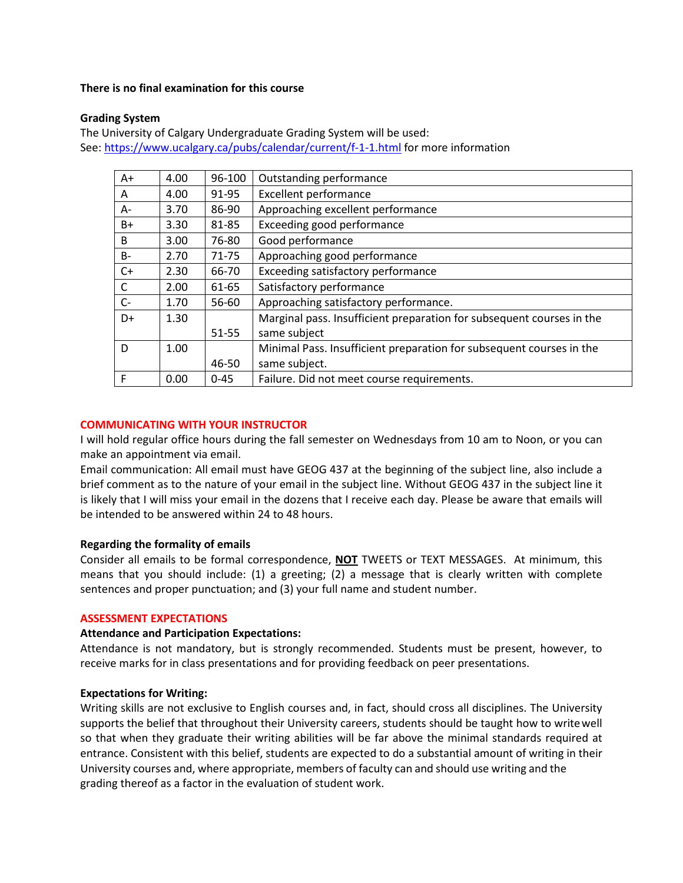## **There is no final examination for this course**

## **Grading System**

The University of Calgary Undergraduate Grading System will be used: See[: https://www.ucalgary.ca/pubs/calendar/current/f-1-1.html](https://www.ucalgary.ca/pubs/calendar/current/f-1-1.html) for more information

| $A+$         | 4.00 | 96-100    | Outstanding performance                                               |
|--------------|------|-----------|-----------------------------------------------------------------------|
| A            | 4.00 | 91-95     | <b>Excellent performance</b>                                          |
| A-           | 3.70 | 86-90     | Approaching excellent performance                                     |
| $B+$         | 3.30 | 81-85     | Exceeding good performance                                            |
| B            | 3.00 | 76-80     | Good performance                                                      |
| $B -$        | 2.70 | $71 - 75$ | Approaching good performance                                          |
| $C+$         | 2.30 | 66-70     | Exceeding satisfactory performance                                    |
| $\mathsf{C}$ | 2.00 | 61-65     | Satisfactory performance                                              |
| $C-$         | 1.70 | 56-60     | Approaching satisfactory performance.                                 |
| D+           | 1.30 |           | Marginal pass. Insufficient preparation for subsequent courses in the |
|              |      | 51-55     | same subject                                                          |
| D            | 1.00 |           | Minimal Pass. Insufficient preparation for subsequent courses in the  |
|              |      | 46-50     | same subject.                                                         |
| F            | 0.00 | $0 - 45$  | Failure. Did not meet course requirements.                            |

## **COMMUNICATING WITH YOUR INSTRUCTOR**

I will hold regular office hours during the fall semester on Wednesdays from 10 am to Noon, or you can make an appointment via email.

Email communication: All email must have GEOG 437 at the beginning of the subject line, also include a brief comment as to the nature of your email in the subject line. Without GEOG 437 in the subject line it is likely that I will miss your email in the dozens that I receive each day. Please be aware that emails will be intended to be answered within 24 to 48 hours.

#### **Regarding the formality of emails**

Consider all emails to be formal correspondence, **NOT** TWEETS or TEXT MESSAGES. At minimum, this means that you should include: (1) a greeting; (2) a message that is clearly written with complete sentences and proper punctuation; and (3) your full name and student number.

#### **ASSESSMENT EXPECTATIONS**

#### **Attendance and Participation Expectations:**

Attendance is not mandatory, but is strongly recommended. Students must be present, however, to receive marks for in class presentations and for providing feedback on peer presentations.

#### **Expectations for Writing:**

Writing skills are not exclusive to English courses and, in fact, should cross all disciplines. The University supports the belief that throughout their University careers, students should be taught how to writewell so that when they graduate their writing abilities will be far above the minimal standards required at entrance. Consistent with this belief, students are expected to do a substantial amount of writing in their University courses and, where appropriate, members of faculty can and should use writing and the grading thereof as a factor in the evaluation of student work.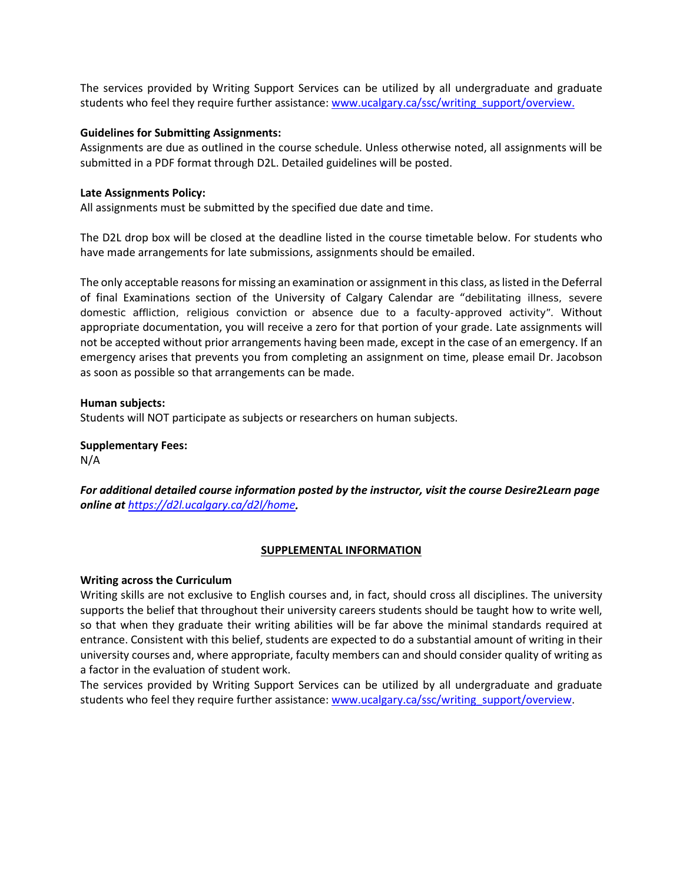The services provided by Writing Support Services can be utilized by all undergraduate and graduate students who feel they require further assistance: [www.ucalgary.ca/ssc/writing\\_support/overview.](http://www.ucalgary.ca/ssc/writing_support/overview)

## **Guidelines for Submitting Assignments:**

Assignments are due as outlined in the course schedule. Unless otherwise noted, all assignments will be submitted in a PDF format through D2L. Detailed guidelines will be posted.

## **Late Assignments Policy:**

All assignments must be submitted by the specified due date and time.

The D2L drop box will be closed at the deadline listed in the course timetable below. For students who have made arrangements for late submissions, assignments should be emailed.

The only acceptable reasons for missing an examination or assignment in this class, as listed in the Deferral of final Examinations section of the University of Calgary Calendar are "debilitating illness, severe domestic affliction, religious conviction or absence due to a faculty-approved activity". Without appropriate documentation, you will receive a zero for that portion of your grade. Late assignments will not be accepted without prior arrangements having been made, except in the case of an emergency. If an emergency arises that prevents you from completing an assignment on time, please email Dr. Jacobson as soon as possible so that arrangements can be made.

**Human subjects:** Students will NOT participate as subjects or researchers on human subjects.

## **Supplementary Fees:**

N/A

*For additional detailed course information posted by the instructor, visit the course Desire2Learn page online at <https://d2l.ucalgary.ca/d2l/home>.*

## **SUPPLEMENTAL INFORMATION**

#### **Writing across the Curriculum**

Writing skills are not exclusive to English courses and, in fact, should cross all disciplines. The university supports the belief that throughout their university careers students should be taught how to write well, so that when they graduate their writing abilities will be far above the minimal standards required at entrance. Consistent with this belief, students are expected to do a substantial amount of writing in their university courses and, where appropriate, faculty members can and should consider quality of writing as a factor in the evaluation of student work.

The services provided by Writing Support Services can be utilized by all undergraduate and graduate students who feel they require further assistance: [www.ucalgary.ca/ssc/writing\\_support/overview.](http://www.ucalgary.ca/ssc/writing_support/overview)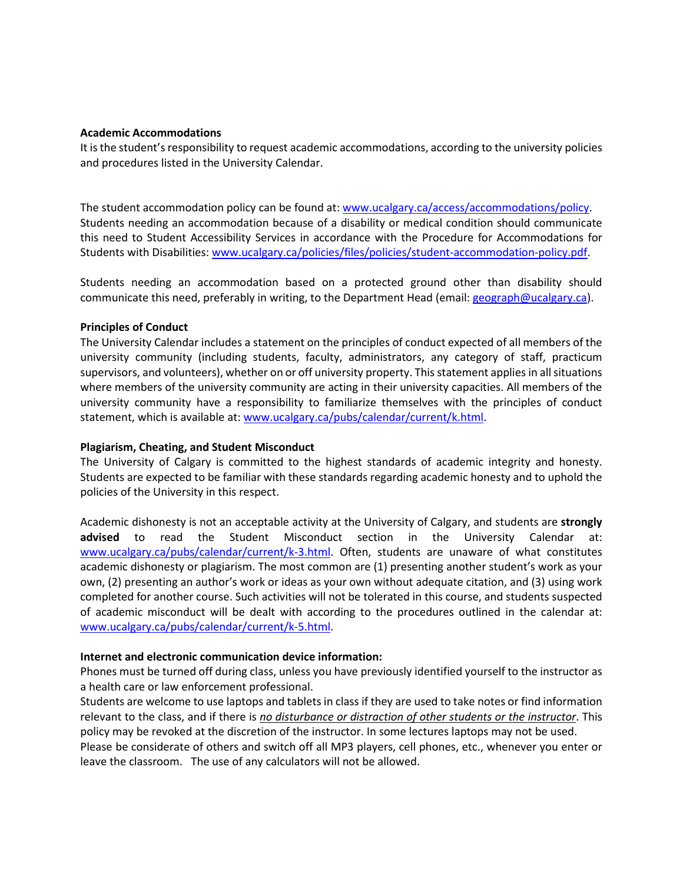#### **Academic Accommodations**

It is the student's responsibility to request academic accommodations, according to the university policies and procedures listed in the University Calendar.

The student accommodation policy can be found at: [www.ucalgary.ca/access/accommodations/policy.](http://www.ucalgary.ca/access/accommodations/policy) Students needing an accommodation because of a disability or medical condition should communicate this need to Student Accessibility Services in accordance with the Procedure for Accommodations for Students with Disabilities: [www.ucalgary.ca/policies/files/policies/student-accommodation-policy.pdf.](http://www.ucalgary.ca/policies/files/policies/student-accommodation-policy.pdf)

Students needing an accommodation based on a protected ground other than disability should communicate this need, preferably in writing, to the Department Head (email: [geograph@ucalgary.ca\)](mailto:geograph@ucalgary.ca?subject=Request%20for%20Student%20Accommodation).

#### **Principles of Conduct**

The University Calendar includes a statement on the principles of conduct expected of all members of the university community (including students, faculty, administrators, any category of staff, practicum supervisors, and volunteers), whether on or off university property. This statement applies in all situations where members of the university community are acting in their university capacities. All members of the university community have a responsibility to familiarize themselves with the principles of conduct statement, which is available at: [www.ucalgary.ca/pubs/calendar/current/k.html.](http://www.ucalgary.ca/pubs/calendar/current/k.html)

## **Plagiarism, Cheating, and Student Misconduct**

The University of Calgary is committed to the highest standards of academic integrity and honesty. Students are expected to be familiar with these standards regarding academic honesty and to uphold the policies of the University in this respect.

Academic dishonesty is not an acceptable activity at the University of Calgary, and students are **strongly advised** to read the Student Misconduct section in the University Calendar at: [www.ucalgary.ca/pubs/calendar/current/k-3.html.](http://www.ucalgary.ca/pubs/calendar/current/k-3.html) Often, students are unaware of what constitutes academic dishonesty or plagiarism. The most common are (1) presenting another student's work as your own, (2) presenting an author's work or ideas as your own without adequate citation, and (3) using work completed for another course. Such activities will not be tolerated in this course, and students suspected of academic misconduct will be dealt with according to the procedures outlined in the calendar at: [www.ucalgary.ca/pubs/calendar/current/k-5.html.](http://www.ucalgary.ca/pubs/calendar/current/k-5.html)

#### **Internet and electronic communication device information:**

Phones must be turned off during class, unless you have previously identified yourself to the instructor as a health care or law enforcement professional.

Students are welcome to use laptops and tablets in class if they are used to take notes or find information relevant to the class, and if there is *no disturbance or distraction of other students or the instructor*. This policy may be revoked at the discretion of the instructor. In some lectures laptops may not be used. Please be considerate of others and switch off all MP3 players, cell phones, etc., whenever you enter or leave the classroom. The use of any calculators will not be allowed.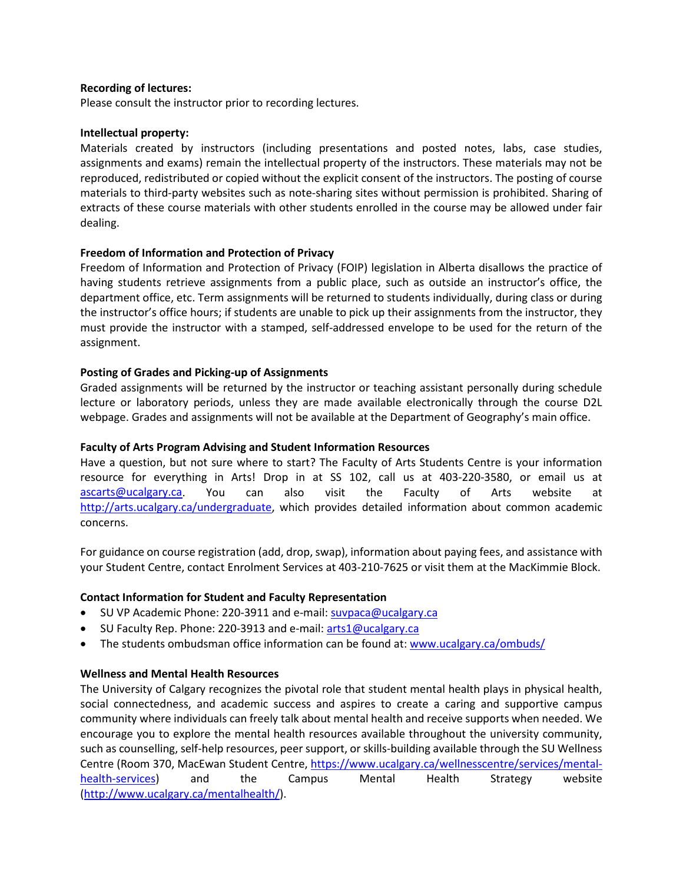## **Recording of lectures:**

Please consult the instructor prior to recording lectures.

## **Intellectual property:**

Materials created by instructors (including presentations and posted notes, labs, case studies, assignments and exams) remain the intellectual property of the instructors. These materials may not be reproduced, redistributed or copied without the explicit consent of the instructors. The posting of course materials to third-party websites such as note-sharing sites without permission is prohibited. Sharing of extracts of these course materials with other students enrolled in the course may be allowed under fair dealing.

## **Freedom of Information and Protection of Privacy**

Freedom of Information and Protection of Privacy (FOIP) legislation in Alberta disallows the practice of having students retrieve assignments from a public place, such as outside an instructor's office, the department office, etc. Term assignments will be returned to students individually, during class or during the instructor's office hours; if students are unable to pick up their assignments from the instructor, they must provide the instructor with a stamped, self-addressed envelope to be used for the return of the assignment.

## **Posting of Grades and Picking-up of Assignments**

Graded assignments will be returned by the instructor or teaching assistant personally during schedule lecture or laboratory periods, unless they are made available electronically through the course D2L webpage. Grades and assignments will not be available at the Department of Geography's main office.

## **Faculty of Arts Program Advising and Student Information Resources**

Have a question, but not sure where to start? The Faculty of Arts Students Centre is your information resource for everything in Arts! Drop in at SS 102, call us at 403-220-3580, or email us at [ascarts@ucalgary.ca.](mailto:ascarts@ucalgary.ca) You can also visit the Faculty of Arts website at [http://arts.ucalgary.ca/undergraduate,](http://arts.ucalgary.ca/undergraduate) which provides detailed information about common academic concerns.

For guidance on course registration (add, drop, swap), information about paying fees, and assistance with your Student Centre, contact Enrolment Services at 403-210-7625 or visit them at the MacKimmie Block.

## **Contact Information for Student and Faculty Representation**

- SU VP Academic Phone: 220-3911 and e-mail[: suvpaca@ucalgary.ca](mailto:suvpaca@ucalgary.ca)
- SU Faculty Rep. Phone: 220-3913 and e-mail: [arts1@ucalgary.ca](mailto:arts1@ucalgary.ca)
- The students ombudsman office information can be found at[: www.ucalgary.ca/ombuds/](http://www.ucalgary.ca/ombuds/)

## **Wellness and Mental Health Resources**

The University of Calgary recognizes the pivotal role that student mental health plays in physical health, social connectedness, and academic success and aspires to create a caring and supportive campus community where individuals can freely talk about mental health and receive supports when needed. We encourage you to explore the mental health resources available throughout the university community, such as counselling, self-help resources, peer support, or skills-building available through the SU Wellness Centre (Room 370, MacEwan Student Centre[, https://www.ucalgary.ca/wellnesscentre/services/mental](https://www.ucalgary.ca/wellnesscentre/services/mental-health-services)[health-services\)](https://www.ucalgary.ca/wellnesscentre/services/mental-health-services) and the Campus Mental Health Strategy website [\(http://www.ucalgary.ca/mentalhealth/\)](http://www.ucalgary.ca/mentalhealth/).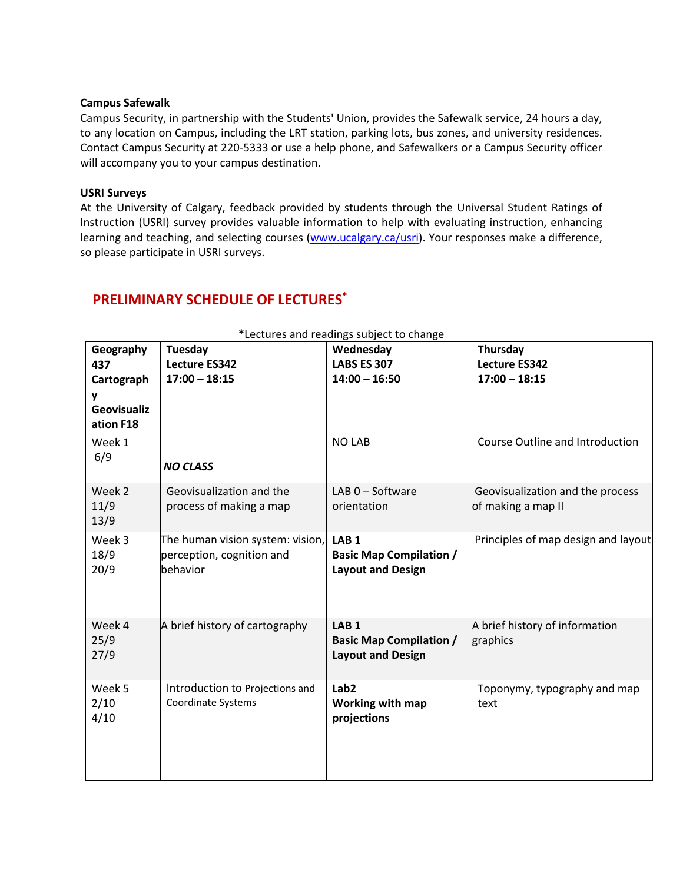## **Campus Safewalk**

Campus Security, in partnership with the Students' Union, provides the Safewalk service, 24 hours a day, to any location on Campus, including the LRT station, parking lots, bus zones, and university residences. Contact Campus Security at 220-5333 or use a help phone, and Safewalkers or a Campus Security officer will accompany you to your campus destination.

## **USRI Surveys**

At the University of Calgary, feedback provided by students through the Universal Student Ratings of Instruction (USRI) survey provides valuable information to help with evaluating instruction, enhancing learning and teaching, and selecting courses [\(www.ucalgary.ca/usri\)](http://www.ucalgary.ca/usri). Your responses make a difference, so please participate in USRI surveys.

| *Lectures and readings subject to change |                                                                           |                                                                                |                                                        |  |
|------------------------------------------|---------------------------------------------------------------------------|--------------------------------------------------------------------------------|--------------------------------------------------------|--|
| Geography<br>437<br>Cartograph<br>۷      | Tuesday<br><b>Lecture ES342</b><br>$17:00 - 18:15$                        | Wednesday<br><b>LABS ES 307</b><br>$14:00 - 16:50$                             | Thursday<br><b>Lecture ES342</b><br>$17:00 - 18:15$    |  |
| <b>Geovisualiz</b><br>ation F18          |                                                                           |                                                                                |                                                        |  |
| Week 1<br>6/9                            | <b>NO CLASS</b>                                                           | <b>NO LAB</b>                                                                  | Course Outline and Introduction                        |  |
| Week 2<br>11/9<br>13/9                   | Geovisualization and the<br>process of making a map                       | LAB 0 - Software<br>orientation                                                | Geovisualization and the process<br>of making a map II |  |
| Week 3<br>18/9<br>20/9                   | The human vision system: vision,<br>perception, cognition and<br>behavior | LAB <sub>1</sub><br><b>Basic Map Compilation /</b><br><b>Layout and Design</b> | Principles of map design and layout                    |  |
| Week 4<br>25/9<br>27/9                   | A brief history of cartography                                            | LAB <sub>1</sub><br><b>Basic Map Compilation /</b><br><b>Layout and Design</b> | A brief history of information<br>graphics             |  |
| Week 5<br>2/10<br>4/10                   | Introduction to Projections and<br><b>Coordinate Systems</b>              | Lab <sub>2</sub><br><b>Working with map</b><br>projections                     | Toponymy, typography and map<br>text                   |  |

# **PRELIMINARY SCHEDULE OF LECTURES\***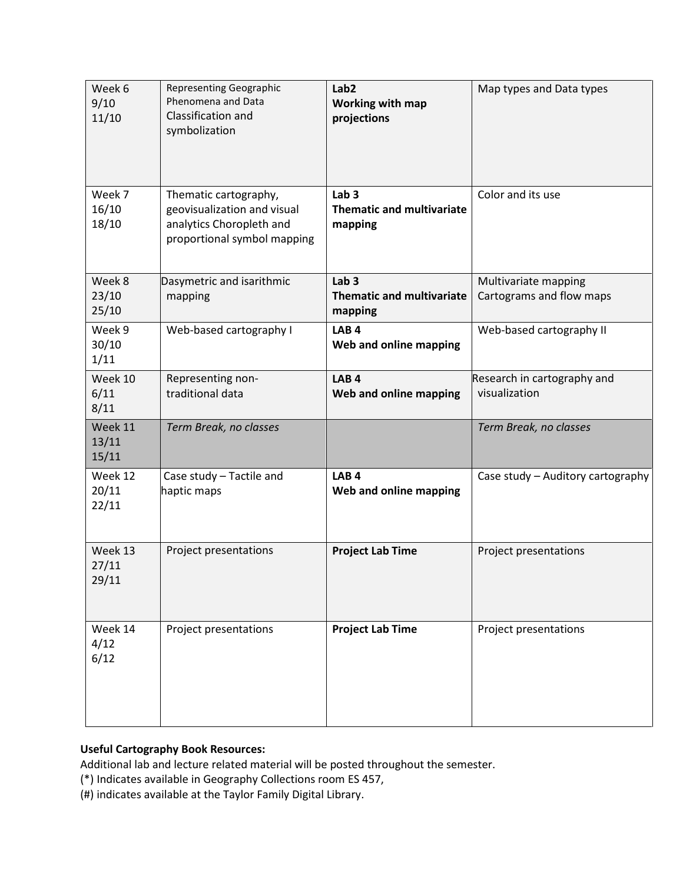| Week 6<br>9/10<br>11/10   | <b>Representing Geographic</b><br>Phenomena and Data<br>Classification and<br>symbolization                     | Lab <sub>2</sub><br><b>Working with map</b><br>projections      | Map types and Data types                         |
|---------------------------|-----------------------------------------------------------------------------------------------------------------|-----------------------------------------------------------------|--------------------------------------------------|
| Week 7<br>16/10<br>18/10  | Thematic cartography,<br>geovisualization and visual<br>analytics Choropleth and<br>proportional symbol mapping | Lab <sub>3</sub><br><b>Thematic and multivariate</b><br>mapping | Color and its use                                |
| Week 8<br>23/10<br>25/10  | Dasymetric and isarithmic<br>mapping                                                                            | Lab <sub>3</sub><br><b>Thematic and multivariate</b><br>mapping | Multivariate mapping<br>Cartograms and flow maps |
| Week 9<br>30/10<br>1/11   | Web-based cartography I                                                                                         | LAB <sub>4</sub><br>Web and online mapping                      | Web-based cartography II                         |
| Week 10<br>6/11<br>8/11   | Representing non-<br>traditional data                                                                           | LAB <sub>4</sub><br>Web and online mapping                      | Research in cartography and<br>visualization     |
| Week 11<br>13/11<br>15/11 | Term Break, no classes                                                                                          |                                                                 | Term Break, no classes                           |
| Week 12<br>20/11<br>22/11 | Case study - Tactile and<br>haptic maps                                                                         | LAB <sub>4</sub><br>Web and online mapping                      | Case study - Auditory cartography                |
| Week 13<br>27/11<br>29/11 | Project presentations                                                                                           | <b>Project Lab Time</b>                                         | Project presentations                            |
| Week 14<br>4/12<br>6/12   | Project presentations                                                                                           | <b>Project Lab Time</b>                                         | Project presentations                            |

## **Useful Cartography Book Resources:**

Additional lab and lecture related material will be posted throughout the semester.

(\*) Indicates available in Geography Collections room ES 457,

(#) indicates available at the Taylor Family Digital Library.